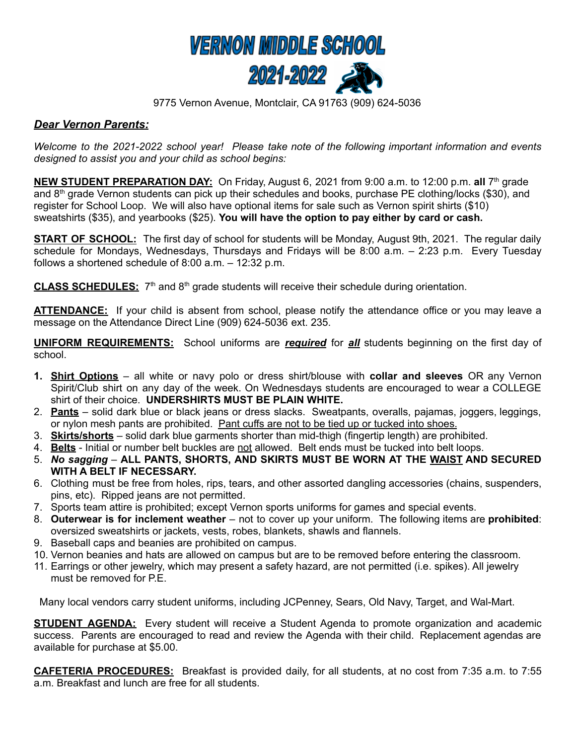

9775 Vernon Avenue, Montclair, CA 91763 (909) 624-5036

## *Dear Vernon Parents:*

*Welcome to the 2021-2022 school year! Please take note of the following important information and events designed to assist you and your child as school begins:*

**NEW STUDENT PREPARATION DAY:** On Friday, August 6, 2021 from 9:00 a.m. to 12:00 p.m. **all** 7 th grade and 8<sup>th</sup> grade Vernon students can pick up their schedules and books, purchase PE clothing/locks (\$30), and register for School Loop. We will also have optional items for sale such as Vernon spirit shirts (\$10) sweatshirts (\$35), and yearbooks (\$25). **You will have the option to pay either by card or cash.**

**START OF SCHOOL:** The first day of school for students will be Monday, August 9th, 2021. The regular daily schedule for Mondays, Wednesdays, Thursdays and Fridays will be 8:00 a.m. – 2:23 p.m. Every Tuesday follows a shortened schedule of 8:00 a.m. – 12:32 p.m.

**CLASS SCHEDULES:** 7<sup>th</sup> and 8<sup>th</sup> grade students will receive their schedule during orientation.

ATTENDANCE: If your child is absent from school, please notify the attendance office or you may leave a message on the Attendance Direct Line (909) 624-5036 ext. 235.

**UNIFORM REQUIREMENTS:** School uniforms are *required* for *all* students beginning on the first day of school.

- **1. Shirt Options** all white or navy polo or dress shirt/blouse with **collar and sleeves** OR any Vernon Spirit/Club shirt on any day of the week. On Wednesdays students are encouraged to wear a COLLEGE shirt of their choice. **UNDERSHIRTS MUST BE PLAIN WHITE.**
- 2. **Pants** solid dark blue or black jeans or dress slacks. Sweatpants, overalls, pajamas, joggers, leggings, or nylon mesh pants are prohibited. Pant cuffs are not to be tied up or tucked into shoes.
- 3. **Skirts/shorts** solid dark blue garments shorter than mid-thigh (fingertip length) are prohibited.
- 4. **Belts** Initial or number belt buckles are not allowed. Belt ends must be tucked into belt loops.
- 5. *No sagging* **ALL PANTS, SHORTS, AND SKIRTS MUST BE WORN AT THE WAIST AND SECURED WITH A BELT IF NECESSARY.**
- 6. Clothing must be free from holes, rips, tears, and other assorted dangling accessories (chains, suspenders, pins, etc). Ripped jeans are not permitted.
- 7. Sports team attire is prohibited; except Vernon sports uniforms for games and special events.
- 8. **Outerwear is for inclement weather** not to cover up your uniform. The following items are **prohibited**: oversized sweatshirts or jackets, vests, robes, blankets, shawls and flannels.
- 9. Baseball caps and beanies are prohibited on campus.
- 10. Vernon beanies and hats are allowed on campus but are to be removed before entering the classroom.
- 11. Earrings or other jewelry, which may present a safety hazard, are not permitted (i.e. spikes). All jewelry must be removed for P.E.

Many local vendors carry student uniforms, including JCPenney, Sears, Old Navy, Target, and Wal-Mart.

**STUDENT AGENDA:** Every student will receive a Student Agenda to promote organization and academic success. Parents are encouraged to read and review the Agenda with their child. Replacement agendas are available for purchase at \$5.00.

**CAFETERIA PROCEDURES:** Breakfast is provided daily, for all students, at no cost from 7:35 a.m. to 7:55 a.m. Breakfast and lunch are free for all students.